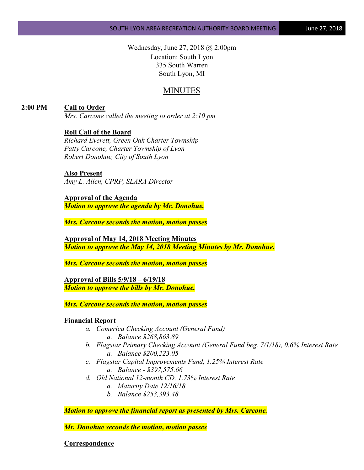Wednesday, June 27, 2018 @ 2:00pm Location: South Lyon 335 South Warren South Lyon, MI

# MINUTES

**2:00 PM Call to Order**

*Mrs. Carcone called the meeting to order at 2:10 pm*

### **Roll Call of the Board**

*Richard Everett, Green Oak Charter Township Patty Carcone, Charter Township of Lyon Robert Donohue, City of South Lyon*

#### **Also Present**

*Amy L. Allen, CPRP, SLARA Director*

**Approval of the Agenda** *Motion to approve the agenda by Mr. Donohue.*

*Mrs. Carcone seconds the motion, motion passes*

**Approval of May 14, 2018 Meeting Minutes** *Motion to approve the May 14, 2018 Meeting Minutes by Mr. Donohue.*

*Mrs. Carcone seconds the motion, motion passes*

**Approval of Bills 5/9/18 – 6/19/18** *Motion to approve the bills by Mr. Donohue.*

*Mrs. Carcone seconds the motion, motion passes*

#### **Financial Report**

- *a. Comerica Checking Account (General Fund) a. Balance \$268,863.89*
- *b. Flagstar Primary Checking Account (General Fund beg. 7/1/18), 0.6% Interest Rate a. Balance \$200,223.05*
- *c. Flagstar Capital Improvements Fund, 1.25% Interest Rate a. Balance - \$397,575.66*
- *d. Old National 12-month CD, 1.73% Interest Rate*
	- *a. Maturity Date 12/16/18*
	- *b. Balance \$253,393.48*

*Motion to approve the financial report as presented by Mrs. Carcone.*

*Mr. Donohue seconds the motion, motion passes*

**Correspondence**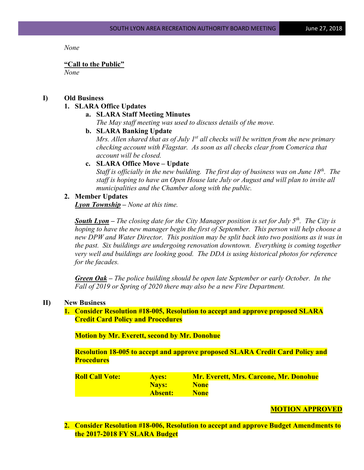*None*

#### **"Call to the Public"**

*None*

## **I) Old Business**

## **1. SLARA Office Updates**

## **a. SLARA Staff Meeting Minutes**

*The May staff meeting was used to discuss details of the move.*

**b. SLARA Banking Update**

*Mrs. Allen shared that as of July 1st all checks will be written from the new primary checking account with Flagstar. As soon as all checks clear from Comerica that account will be closed.*

# **c. SLARA Office Move – Update**

*Staff is officially in the new building. The first day of business was on June 18th. The staff is hoping to have an Open House late July or August and will plan to invite all municipalities and the Chamber along with the public.*

### **2. Member Updates**

*Lyon Township – None at this time.*

**South Lyon** – The closing date for the City Manager position is set for July 5<sup>th</sup>. The City is *hoping to have the new manager begin the first of September. This person will help choose a new DPW and Water Director. This position may be split back into two positions as it was in the past. Six buildings are undergoing renovation downtown. Everything is coming together very well and buildings are looking good. The DDA is using historical photos for reference for the facades.*

*Green Oak – The police building should be open late September or early October. In the Fall of 2019 or Spring of 2020 there may also be a new Fire Department.*

### **II) New Business**

**1. Consider Resolution #18-005, Resolution to accept and approve proposed SLARA Credit Card Policy and Procedures**

**Motion by Mr. Everett, second by Mr. Donohue**

**Resolution 18-005 to accept and approve proposed SLARA Credit Card Policy and Procedures**

| <b>Roll Call Vote:</b> | <b>Aves:</b> | <b>Mr. Everett, Mrs. Carcone, Mr. Donohue</b> |
|------------------------|--------------|-----------------------------------------------|
|                        | <b>Navs:</b> | <b>None</b>                                   |
|                        | Absent:      | <b>None</b>                                   |

### **MOTION APPROVED**

**2. Consider Resolution #18-006, Resolution to accept and approve Budget Amendments to the 2017-2018 FY SLARA Budget**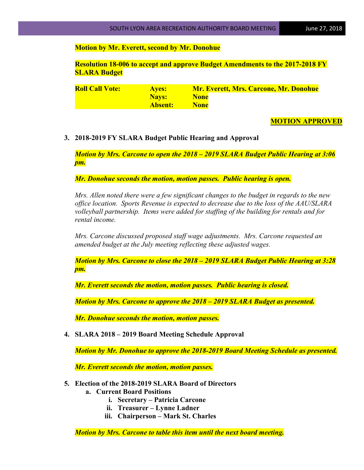### **Motion by Mr. Everett, second by Mr. Donohue**

**Resolution 18-006 to accept and approve Budget Amendments to the 2017-2018 FY SLARA Budget**

| <b>Roll Call Vote:</b> | <b>Aves:</b> | <b>Mr. Everett, Mrs. Carcone, Mr. Donohue</b> |
|------------------------|--------------|-----------------------------------------------|
|                        | <b>Navs:</b> | <b>None</b>                                   |
|                        | Absent:      | <b>None</b>                                   |

#### **MOTION APPROVED**

### **3. 2018-2019 FY SLARA Budget Public Hearing and Approval**

*Motion by Mrs. Carcone to open the 2018 – 2019 SLARA Budget Public Hearing at 3:06 pm.* 

*Mr. Donohue seconds the motion, motion passes. Public hearing is open.*

*Mrs. Allen noted there were a few significant changes to the budget in regards to the new office location. Sports Revenue is expected to decrease due to the loss of the AAU/SLARA volleyball partnership. Items were added for staffing of the building for rentals and for rental income.*

*Mrs. Carcone discussed proposed staff wage adjustments. Mrs. Carcone requested an amended budget at the July meeting reflecting these adjusted wages.* 

*Motion by Mrs. Carcone to close the 2018 – 2019 SLARA Budget Public Hearing at 3:28 pm.* 

*Mr. Everett seconds the motion, motion passes. Public hearing is closed.*

*Motion by Mrs. Carcone to approve the 2018 – 2019 SLARA Budget as presented.* 

*Mr. Donohue seconds the motion, motion passes.*

**4. SLARA 2018 – 2019 Board Meeting Schedule Approval**

*Motion by Mr. Donohue to approve the 2018-2019 Board Meeting Schedule as presented.*

*Mr. Everett seconds the motion, motion passes.*

- **5. Election of the 2018-2019 SLARA Board of Directors**
	- **a. Current Board Positions**
		- **i. Secretary – Patricia Carcone**
		- **ii. Treasurer – Lynne Ladner**
		- **iii. Chairperson – Mark St. Charles**

*Motion by Mrs. Carcone to table this item until the next board meeting.*